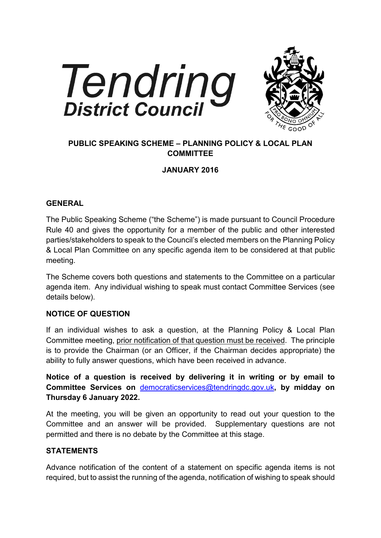



# **PUBLIC SPEAKING SCHEME – PLANNING POLICY & LOCAL PLAN COMMITTEE**

## **JANUARY 2016**

#### **GENERAL**

The Public Speaking Scheme ("the Scheme") is made pursuant to Council Procedure Rule 40 and gives the opportunity for a member of the public and other interested parties/stakeholders to speak to the Council's elected members on the Planning Policy & Local Plan Committee on any specific agenda item to be considered at that public meeting.

The Scheme covers both questions and statements to the Committee on a particular agenda item. Any individual wishing to speak must contact Committee Services (see details below).

## **NOTICE OF QUESTION**

If an individual wishes to ask a question, at the Planning Policy & Local Plan Committee meeting, prior notification of that question must be received. The principle is to provide the Chairman (or an Officer, if the Chairman decides appropriate) the ability to fully answer questions, which have been received in advance.

**Notice of a question is received by delivering it in writing or by email to Committee Services on** [democraticservices@tendringdc.gov.uk](mailto:democraticservices@tendringdc.gov.uk)**, by midday on Thursday 6 January 2022.** 

At the meeting, you will be given an opportunity to read out your question to the Committee and an answer will be provided. Supplementary questions are not permitted and there is no debate by the Committee at this stage.

## **STATEMENTS**

Advance notification of the content of a statement on specific agenda items is not required, but to assist the running of the agenda, notification of wishing to speak should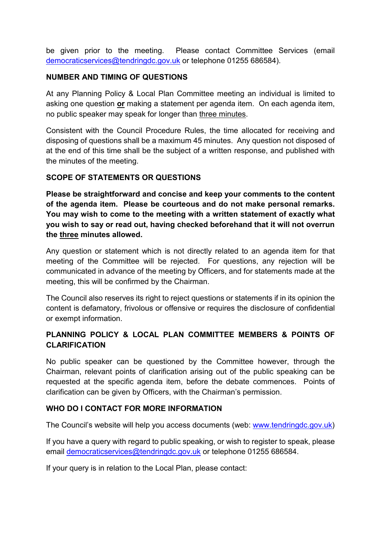be given prior to the meeting. Please contact Committee Services (email [democraticservices@tendringdc.gov.uk](mailto:democraticservices@tendringdc.gov.uk) or telephone 01255 686584).

### **NUMBER AND TIMING OF QUESTIONS**

At any Planning Policy & Local Plan Committee meeting an individual is limited to asking one question **or** making a statement per agenda item. On each agenda item, no public speaker may speak for longer than three minutes.

Consistent with the Council Procedure Rules, the time allocated for receiving and disposing of questions shall be a maximum 45 minutes. Any question not disposed of at the end of this time shall be the subject of a written response, and published with the minutes of the meeting.

#### **SCOPE OF STATEMENTS OR QUESTIONS**

**Please be straightforward and concise and keep your comments to the content of the agenda item. Please be courteous and do not make personal remarks. You may wish to come to the meeting with a written statement of exactly what you wish to say or read out, having checked beforehand that it will not overrun the three minutes allowed.** 

Any question or statement which is not directly related to an agenda item for that meeting of the Committee will be rejected. For questions, any rejection will be communicated in advance of the meeting by Officers, and for statements made at the meeting, this will be confirmed by the Chairman.

The Council also reserves its right to reject questions or statements if in its opinion the content is defamatory, frivolous or offensive or requires the disclosure of confidential or exempt information.

## **PLANNING POLICY & LOCAL PLAN COMMITTEE MEMBERS & POINTS OF CLARIFICATION**

No public speaker can be questioned by the Committee however, through the Chairman, relevant points of clarification arising out of the public speaking can be requested at the specific agenda item, before the debate commences. Points of clarification can be given by Officers, with the Chairman's permission.

#### **WHO DO I CONTACT FOR MORE INFORMATION**

The Council's website will help you access documents (web: [www.tendringdc.gov.uk\)](http://www.tendringdc.gov.uk/)

If you have a query with regard to public speaking, or wish to register to speak, please email [democraticservices@tendringdc.gov.uk](mailto:democraticservices@tendringdc.gov.uk) or telephone 01255 686584.

If your query is in relation to the Local Plan, please contact: